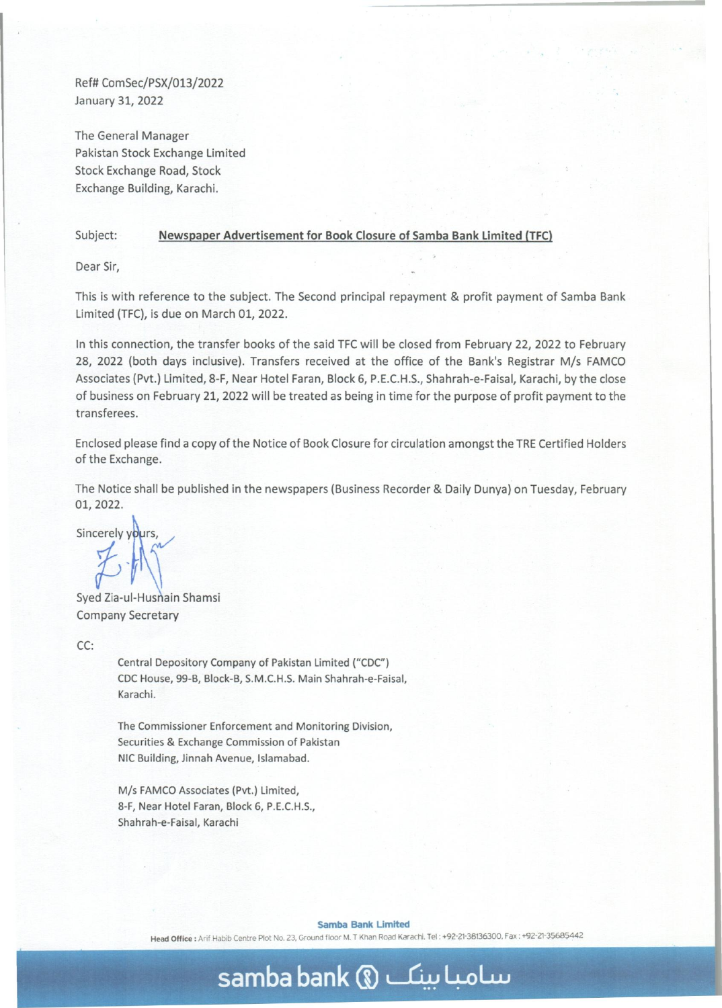Ref# ComSec/PSX/013/2022 January 31, 2022

The General Manager Pakistan Stock Exchange Limited Stock Exchange Road, Stock Exchange Building, Karachi.

## Subject: **Newspaper Advertisement for Book Closure of Samba Bank Limited (TFC)**

Dear Sir,

This is with reference to the subject. The Second principal repayment & profit payment of Samba Bank Limited (TFC), is due on March 01, 2022.

In this connection, the transfer books of the said TFC will be closed from February 22, 2022 to February 28, 2022 (both days inclusive). Transfers received at the office of the Bank's Registrar M/s FAMCO Associates (Pvt.) Limited, 8-F, Near Hotel Faran, Block 6, P.E.C.H.S., Shahrah-e-Faisal, Karachi, by the close of business on February 21,2022 will be treated as being in time for the purpose of profit payment to the transferees.

Enclosed please find a copy of the Notice of Book Closure for circulation amongst the TRE Certified Holders of the Exchange.

The Notice shall be published in the newspapers (Business Recorder & Daily Dunya) on Tuesday, February 01,2022.

 $S_1$ , 2022.<br>Sincerely yours,

Syed Zia-ul-Husnain Shamsi Company Secretary

CC:

Central Depository Company of Pakistan Limited *("CDC")*  CDC House, 99-B, Block-B, S.M.C.H.S. Main Shahrah-e-Faisal, Karachi.

The Commissioner Enforcement and Monitoring Division, Securities & Exchange Commission of Pakistan NIC Building, Jinnah Avenue, Islamabad.

*Mis* FAMCD Associates (Pvt.) Limited, 8-F, Near Hotel Faran, Block 6, P.E.C.H.S., Shahrah-e-Falsal, Karachi

**Samba Bank Limited** 

**samba bank** (l) ~ **4-oLw** 

Head Office: Arif Habib Centre Plot No. 23, Ground floor M. T Khan Road Karachi. Tel: +92-21-38136300, Fax: +92-21-35685442